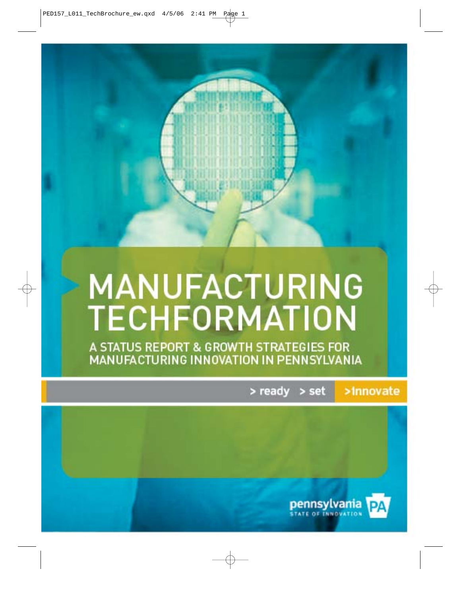# MANUFACTURING<br>TECHFORMATION

A STATUS REPORT & GROWTH STRATEGIES FOR<br>MANUFACTURING INNOVATION IN PENNSYLVANIA

> ready > set >Innovate

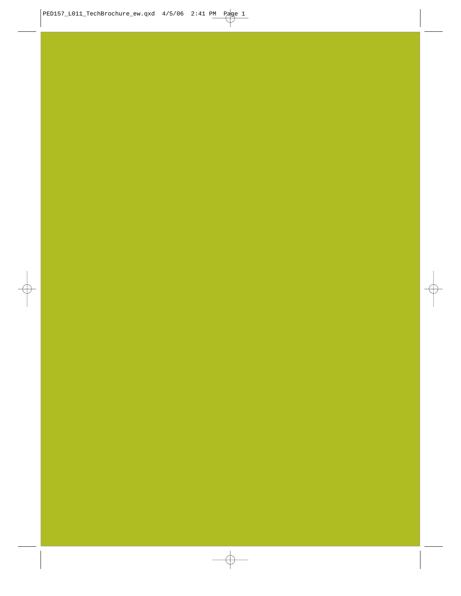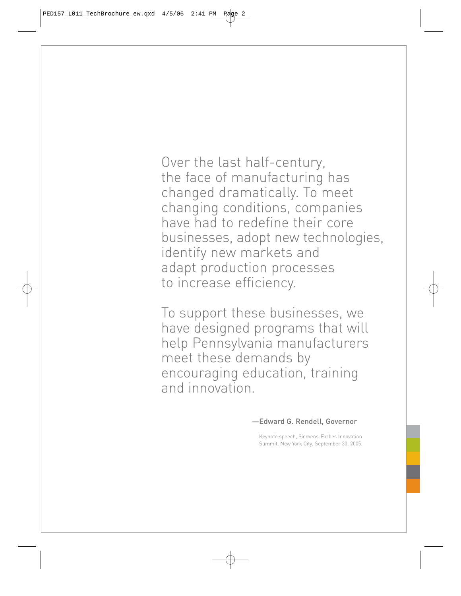Over the last half-century, the face of manufacturing has changed dramatically. To meet changing conditions, companies have had to redefine their core businesses, adopt new technologies, identify new markets and adapt production processes to increase efficiency.

To support these businesses, we have designed programs that will help Pennsylvania manufacturers meet these demands by encouraging education, training and innovation.

—Edward G. Rendell, Governor

Keynote speech, Siemens-Forbes Innovation Summit, New York City, September 30, 2005.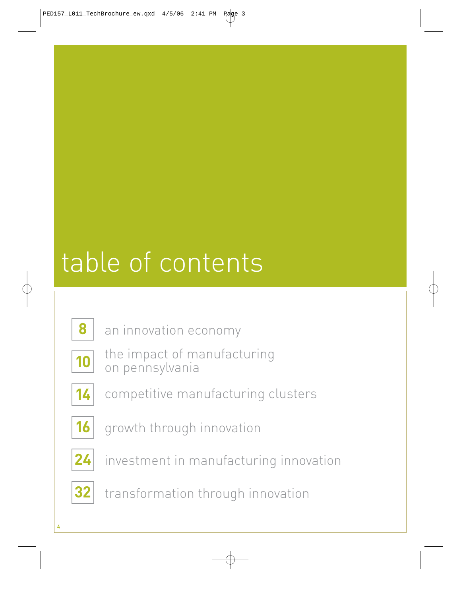### table of contents

an innovation economy



- the impact of manufacturing on pennsylvania
- competitive manufacturing clusters **14**
- growth through innovation **16**



- investment in manufacturing innovation
- transformation through innovation **32**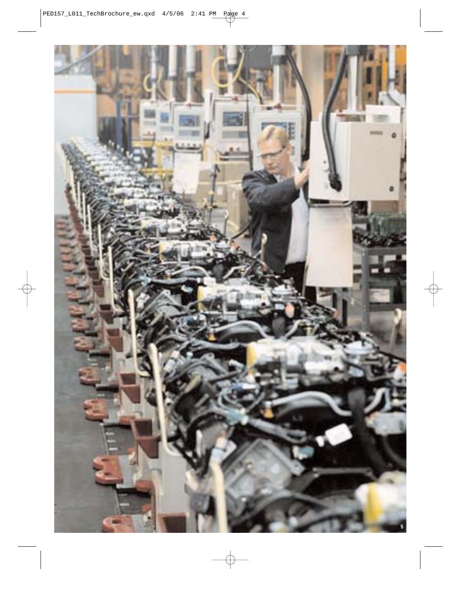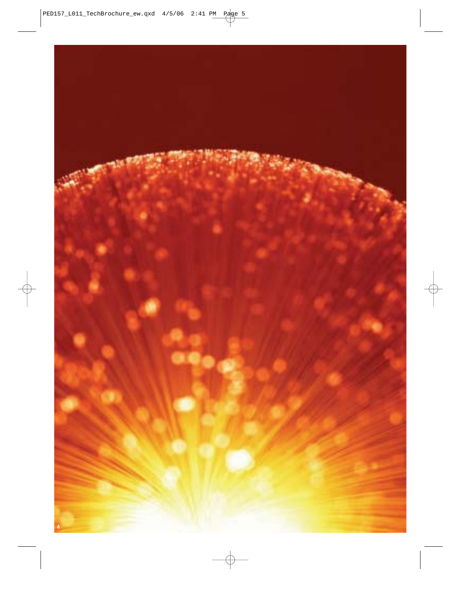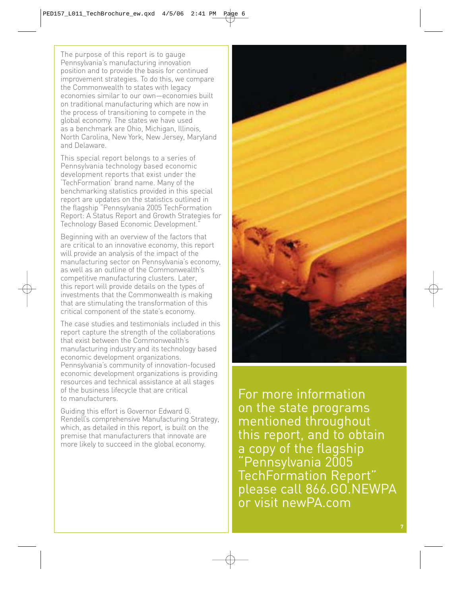The purpose of this report is to gauge Pennsylvania's manufacturing innovation position and to provide the basis for continued improvement strategies. To do this, we compare the Commonwealth to states with legacy economies similar to our own—economies built on traditional manufacturing which are now in the process of transitioning to compete in the global economy. The states we have used as a benchmark are Ohio, Michigan, Illinois, North Carolina, New York, New Jersey, Maryland and Delaware.

This special report belongs to a series of Pennsylvania technology based economic development reports that exist under the 'TechFormation' brand name. Many of the benchmarking statistics provided in this special report are updates on the statistics outlined in the flagship "Pennsylvania 2005 TechFormation Report: A Status Report and Growth Strategies for Technology Based Economic Development."

Beginning with an overview of the factors that are critical to an innovative economy, this report will provide an analysis of the impact of the manufacturing sector on Pennsylvania's economy, as well as an outline of the Commonwealth's competitive manufacturing clusters. Later, this report will provide details on the types of investments that the Commonwealth is making that are stimulating the transformation of this critical component of the state's economy.

The case studies and testimonials included in this report capture the strength of the collaborations that exist between the Commonwealth's manufacturing industry and its technology based economic development organizations. Pennsylvania's community of innovation-focused economic development organizations is providing resources and technical assistance at all stages of the business lifecycle that are critical to manufacturers.

Guiding this effort is Governor Edward G. Rendell's comprehensive Manufacturing Strategy, which, as detailed in this report, is built on the premise that manufacturers that innovate are more likely to succeed in the global economy.



For more information on the state programs mentioned throughout this report, and to obtain a copy of the flagship "Pennsylvania 2005 TechFormation Report" please call 866.GO.NEWPA or visit newPA.com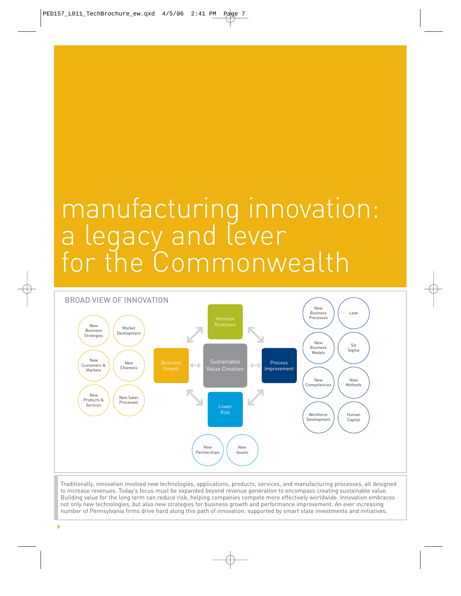### manufacturing innovation: a legacy and lever for the Commonwealth



Traditionally, innovation involved new technologies, applications, products, services, and manufacturing processes, all designed to increase revenues. Today's focus must be expanded beyond revenue generation to encompass creating sustainable value. Building value for the long term can reduce risk, helping companies compete more effectively worldwide. Innovation embraces not only new technologies, but also new strategies for business growth and performance improvement. An ever increasing number of Pennsylvania firms drive hard along this path of innovation, supported by smart state investments and initiatives.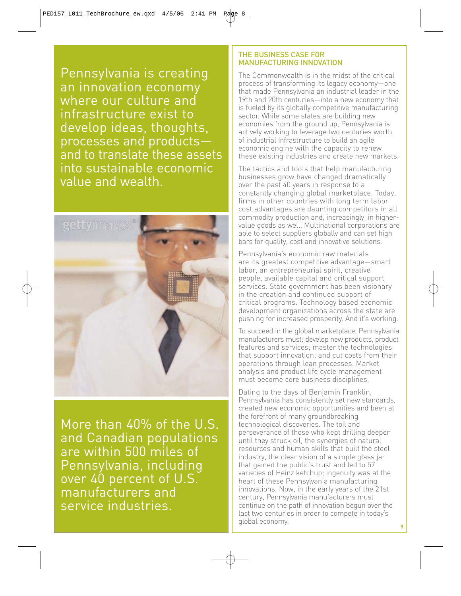Pennsylvania is creating an innovation economy where our culture and infrastructure exist to develop ideas, thoughts, processes and productsand to translate these assets into sustainable economic value and wealth.



More than 40% of the U.S. and Canadian populations are within 500 miles of Pennsylvania, including over 40 percent of U.S. manufacturers and service industries.

#### THE BUSINESS CASE FOR MANUFACTURING INNOVATION

The Commonwealth is in the midst of the critical process of transforming its legacy economy—one that made Pennsylvania an industrial leader in the 19th and 20th centuries—into a new economy that is fueled by its globally competitive manufacturing sector. While some states are building new economies from the ground up, Pennsylvania is actively working to leverage two centuries worth of industrial infrastructure to build an agile economic engine with the capacity to renew these existing industries and create new markets.

The tactics and tools that help manufacturing businesses grow have changed dramatically over the past 40 years in response to a constantly changing global marketplace. Today, firms in other countries with long term labor cost advantages are daunting competitors in all commodity production and, increasingly, in highervalue goods as well. Multinational corporations are able to select suppliers globally and can set high bars for quality, cost and innovative solutions.

Pennsylvania's economic raw materials are its greatest competitive advantage—smart labor, an entrepreneurial spirit, creative people, available capital and critical support services. State government has been visionary in the creation and continued support of critical programs. Technology based economic development organizations across the state are pushing for increased prosperity. And it's working.

To succeed in the global marketplace, Pennsylvania manufacturers must: develop new products, product features and services; master the technologies that support innovation; and cut costs from their operations through lean processes. Market analysis and product life cycle management must become core business disciplines.

Dating to the days of Benjamin Franklin, Pennsylvania has consistently set new standards, created new economic opportunities and been at the forefront of many groundbreaking technological discoveries. The toil and perseverance of those who kept drilling deeper until they struck oil, the synergies of natural resources and human skills that built the steel industry, the clear vision of a simple glass jar that gained the public's trust and led to 57 varieties of Heinz ketchup; ingenuity was at the heart of these Pennsylvania manufacturing innovations. Now, in the early years of the 21st century, Pennsylvania manufacturers must continue on the path of innovation begun over the last two centuries in order to compete in today's global economy.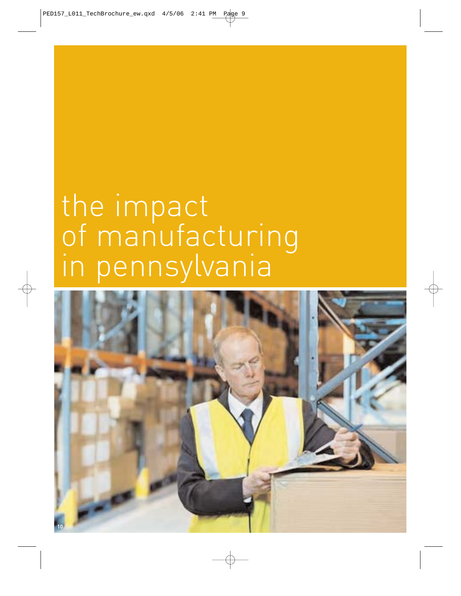## the impact of manufacturing in pennsylvania

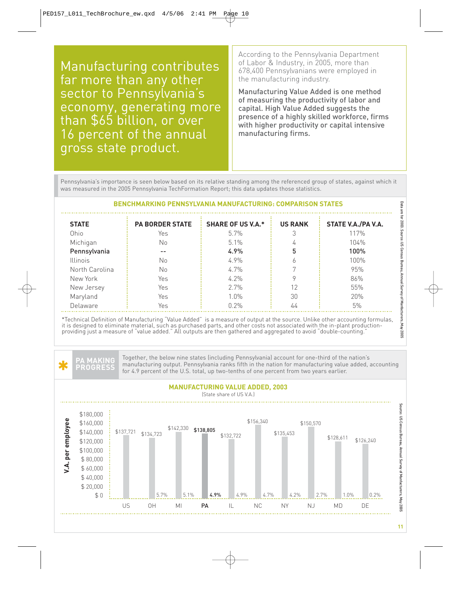Manufacturing contributes far more than any other sector to Pennsylvania's economy, generating more than \$65 billion, or over 16 percent of the annual gross state product.

According to the Pennsylvania Department of Labor & Industry, in 2005, more than 678,400 Pennsylvanians were employed in the manufacturing industry.

Manufacturing Value Added is one method of measuring the productivity of labor and capital. High Value Added suggests the presence of a highly skilled workforce, firms with higher productivity or capital intensive manufacturing firms.

Pennsylvania's importance is seen below based on its relative standing among the referenced group of states, against which it was measured in the 2005 Pennsylvania TechFormation Report; this data updates those statistics.

#### **BENCHMARKING PENNSYLVANIA MANUFACTURING: COMPARISON STATES**

| <b>STATE</b>    | <b>PA BORDER STATE</b> | <b>SHARE OF US V.A.*</b> | <b>US RANK</b> | STATE V.A./PA V.A. |
|-----------------|------------------------|--------------------------|----------------|--------------------|
| Ohio            | Yes                    | 5.7%                     |                | 117%               |
| Michigan        | No.                    | $5.1\%$                  |                | 104%               |
| Pennsylvania    |                        | 4.9%                     | 5              | 100%               |
| <b>Illinois</b> | No.                    | 4.9%                     | <sup>6</sup>   | 100%               |
| North Carolina  | No.                    | 4.7%                     |                | 95%                |
| New York        | Yes                    | $4.2\%$                  |                | 86%                |
| New Jersey      | Yes                    | 27%                      | 12             | 55%                |
| Maryland        | Yes                    | $1.0\%$                  | 30             | 20%                |
| Delaware        | Yes                    | 0.2%                     | 44             | 5%                 |



Data ō

urers; **May 2005**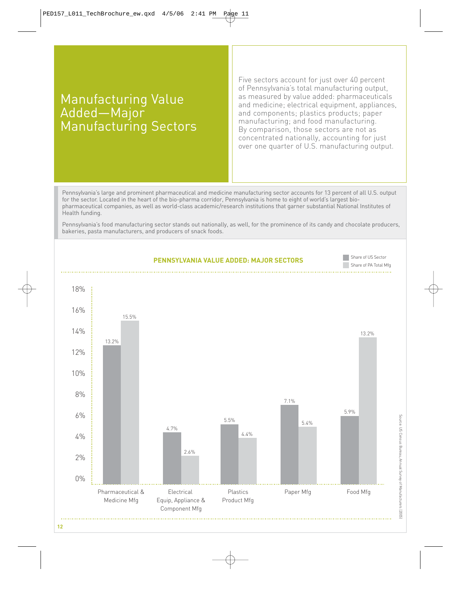### Manufacturing Value Added—Major Manufacturing Sectors

Five sectors account for just over 40 percent of Pennsylvania's total manufacturing output, as measured by value added: pharmaceuticals and medicine; electrical equipment, appliances, and components; plastics products; paper manufacturing; and food manufacturing. By comparison, those sectors are not as concentrated nationally, accounting for just over one quarter of U.S. manufacturing output.

Pennsylvania's large and prominent pharmaceutical and medicine manufacturing sector accounts for 13 percent of all U.S. output for the sector. Located in the heart of the bio-pharma corridor, Pennsylvania is home to eight of world's largest biopharmaceutical companies, as well as world-class academic/research institutions that garner substantial National Institutes of Health funding.

Pennsylvania's food manufacturing sector stands out nationally, as well, for the prominence of its candy and chocolate producers, bakeries, pasta manufacturers, and producers of snack foods.

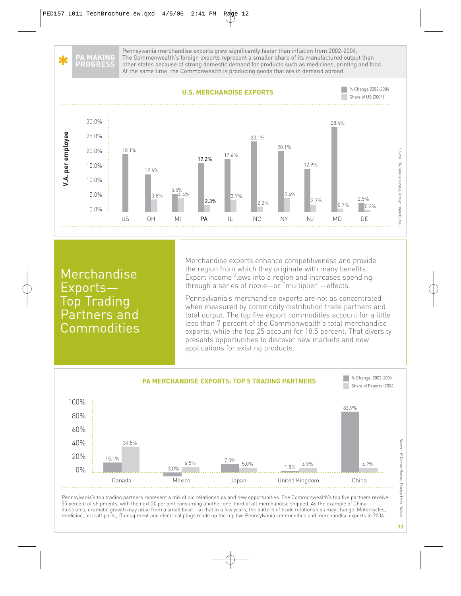**PA MAKING \* PROGRESS**

Pennsylvania merchandise exports grew significantly faster than inflation from 2002-2004. The Commonwealth's foreign exports represent a smaller share of its manufactured output than other states because of strong domestic demand for products such as medicines, printing and food. At the same time, the Commonwealth is producing goods that are in demand abroad.

#### **U.S. MERCHANDISE EXPORTS**

% Change 2002-2004 Share of US (2004)



Merchandise Exports— Top Trading Partners and **Commodities**  Merchandise exports enhance competitiveness and provide the region from which they originate with many benefits. Export income flows into a region and increases spending through a series of ripple—or "multiplier"—effects.

Pennsylvania's merchandise exports are not as concentrated when measured by commodity distribution trade partners and total output. The top five export commodities account for a little less than 7 percent of the Commonwealth's total merchandise exports, while the top 25 account for 18.5 percent. That diversity presents opportunities to discover new markets and new applications for existing products.



Pennsylvania's top trading partners represent a mix of old relationships and new opportunities. The Commonwealth's top five partners receive 55 percent of shipments, with the next 20 percent consuming another one-third of all merchandise shipped. As the example of China illustrates, dramatic growth may arise from a small base—so that in a few years, the pattern of trade relationships may change. Motorcycles, medicine, aircraft parts, IT equipment and electrical plugs made up the top five Pennsylvania commodities and merchandise exports in 2004.

**13**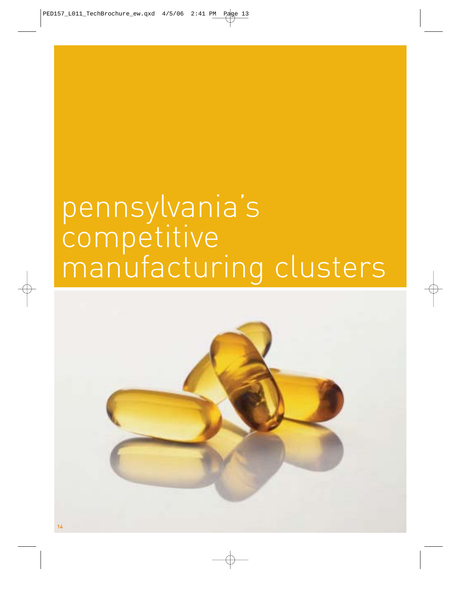### pennsylvania's competitive manufacturing clusters

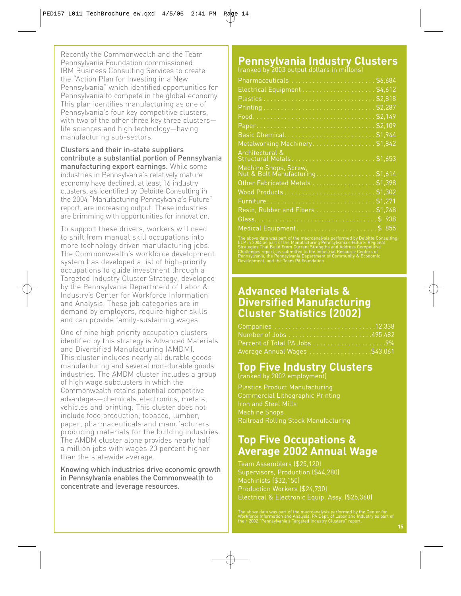Recently the Commonwealth and the Team Pennsylvania Foundation commissioned IBM Business Consulting Services to create the "Action Plan for Investing in a New Pennsylvania" which identified opportunities for Pennsylvania to compete in the global economy. This plan identifies manufacturing as one of Pennsylvania's four key competitive clusters, with two of the other three key three clusters life sciences and high technology—having manufacturing sub-sectors.

Clusters and their in-state suppliers contribute a substantial portion of Pennsylvania manufacturing export earnings. While some industries in Pennsylvania's relatively mature economy have declined, at least 16 industry clusters, as identified by Deloitte Consulting in the 2004 "Manufacturing Pennsylvania's Future" report, are increasing output. These industries are brimming with opportunities for innovation.

To support these drivers, workers will need to shift from manual skill occupations into more technology driven manufacturing jobs. The Commonwealth's workforce development system has developed a list of high-priority occupations to guide investment through a Targeted Industry Cluster Strategy, developed by the Pennsylvania Department of Labor & Industry's Center for Workforce Information and Analysis. These job categories are in demand by employers, require higher skills and can provide family-sustaining wages.

One of nine high priority occupation clusters identified by this strategy is Advanced Materials and Diversified Manufacturing (AMDM). This cluster includes nearly all durable goods manufacturing and several non-durable goods industries. The AMDM cluster includes a group of high wage subclusters in which the Commonwealth retains potential competitive advantages—chemicals, electronics, metals, vehicles and printing. This cluster does not include food production, tobacco, lumber, paper, pharmaceuticals and manufacturers producing materials for the building industries. The AMDM cluster alone provides nearly half a million jobs with wages 20 percent higher than the statewide average.

Knowing which industries drive economic growth in Pennsylvania enables the Commonwealth to concentrate and leverage resources.

**Pennsylvania Industry Clusters**

(ranked by 2003 output dollars in millons)

| Pharmaceuticals \$6,684                                  |
|----------------------------------------------------------|
|                                                          |
|                                                          |
| \$2.287                                                  |
| \$2,149                                                  |
| \$2.109                                                  |
| Basic Chemical\$1,944                                    |
| Metalworking Machinery\$1,842                            |
| Architectural &                                          |
| Machine Shops, Screw,<br>Nut & Bolt Manufacturing\$1,614 |
| Other Fabricated Metals \$1,398                          |
|                                                          |
| \$1.271                                                  |
| Resin, Rubber and Fibers \$1,248                         |
|                                                          |
| Medical Equipment\$ 855                                  |

The above data was part of the macroanalysis performed by Deloitte Consulting,<br>LLP in 2004 as part of the Manufacturing Pennsylvania's Future: Regional<br>Strategies That Build From Current Strengths and Address Competitive<br>C

#### **Advanced Materials & Diversified Manufacturing Cluster Statistics (2002)**

| Companies 12,338              |  |
|-------------------------------|--|
|                               |  |
|                               |  |
| Average Annual Wages \$43,061 |  |

#### **Top Five Industry Clusters**  (ranked by 2002 employment)

Plastics Product Manufacturing Commercial Lithographic Printing Iron and Steel Mills Machine Shops Railroad Rolling Stock Manufacturing

### **Top Five Occupations & Average 2002 Annual Wage**

Team Assemblers (\$25,120) Supervisors, Production (\$44,280) Machinists (\$32,150) Production Workers (\$24,730) Electrical & Electronic Equip. Assy. (\$25,360)

The above data was part of the macroanalysis performed by the Center for<br>Workforce Information and Analysis, PA Dept. of Labor and Industry as part of<br>their 2002 "Pennsylvania's Targeted Industry Clusters" report.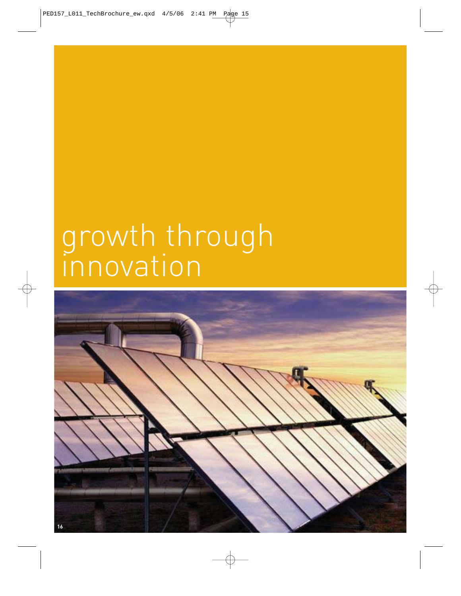### growth through innovation

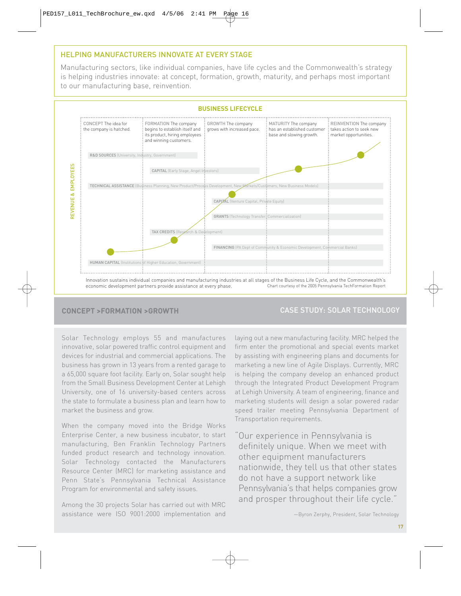#### HELPING MANUFACTURERS INNOVATE AT EVERY STAGE

Manufacturing sectors, like individual companies, have life cycles and the Commonwealth's strategy is helping industries innovate: at concept, formation, growth, maturity, and perhaps most important to our manufacturing base, reinvention.



#### **CONCEPT >FORMATION >GROWTH** CASE STUDY: SOLAR TECHNOLOGY

Solar Technology employs 55 and manufactures innovative, solar powered traffic control equipment and devices for industrial and commercial applications. The business has grown in 13 years from a rented garage to a 65,000 square foot facility. Early on, Solar sought help from the Small Business Development Center at Lehigh University, one of 16 university-based centers across the state to formulate a business plan and learn how to market the business and grow.

When the company moved into the Bridge Works Enterprise Center, a new business incubator, to start manufacturing, Ben Franklin Technology Partners funded product research and technology innovation. Solar Technology contacted the Manufacturers Resource Center (MRC) for marketing assistance and Penn State's Pennsylvania Technical Assistance Program for environmental and safety issues.

Among the 30 projects Solar has carried out with MRC assistance were ISO 9001:2000 implementation and laying out a new manufacturing facility. MRC helped the firm enter the promotional and special events market by assisting with engineering plans and documents for marketing a new line of Agile Displays. Currently, MRC is helping the company develop an enhanced product through the Integrated Product Development Program at Lehigh University. A team of engineering, finance and marketing students will design a solar powered radar speed trailer meeting Pennsylvania Department of Transportation requirements.

"Our experience in Pennsylvania is definitely unique. When we meet with other equipment manufacturers nationwide, they tell us that other states do not have a support network like Pennsylvania's that helps companies grow and prosper throughout their life cycle."

—Byron Zerphy, President, Solar Technology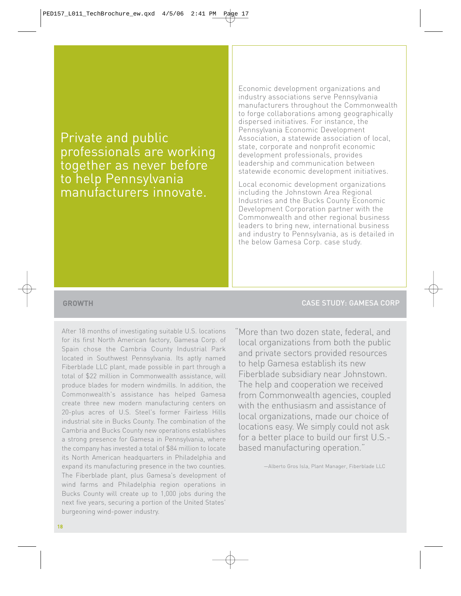Private and public professionals are working together as never before to help Pennsylvania manufacturers innovate.

Economic development organizations and industry associations serve Pennsylvania manufacturers throughout the Commonwealth to forge collaborations among geographically dispersed initiatives. For instance, the Pennsylvania Economic Development Association, a statewide association of local, state, corporate and nonprofit economic development professionals, provides leadership and communication between statewide economic development initiatives.

Local economic development organizations including the Johnstown Area Regional Industries and the Bucks County Economic Development Corporation partner with the Commonwealth and other regional business leaders to bring new, international business and industry to Pennsylvania, as is detailed in the below Gamesa Corp. case study.

After 18 months of investigating suitable U.S. locations for its first North American factory, Gamesa Corp. of Spain chose the Cambria County Industrial Park located in Southwest Pennsylvania. Its aptly named Fiberblade LLC plant, made possible in part through a total of \$22 million in Commonwealth assistance, will produce blades for modern windmills. In addition, the Commonwealth's assistance has helped Gamesa create three new modern manufacturing centers on 20-plus acres of U.S. Steel's former Fairless Hills industrial site in Bucks County. The combination of the Cambria and Bucks County new operations establishes a strong presence for Gamesa in Pennsylvania, where the company has invested a total of \$84 million to locate its North American headquarters in Philadelphia and expand its manufacturing presence in the two counties. The Fiberblade plant, plus Gamesa's development of wind farms and Philadelphia region operations in Bucks County will create up to 1,000 jobs during the next five years, securing a portion of the United States' burgeoning wind-power industry.

#### **GROWTH** CASE STUDY: GAMESA CORP

"More than two dozen state, federal, and local organizations from both the public and private sectors provided resources to help Gamesa establish its new Fiberblade subsidiary near Johnstown. The help and cooperation we received from Commonwealth agencies, coupled with the enthusiasm and assistance of local organizations, made our choice of locations easy. We simply could not ask for a better place to build our first U.S. based manufacturing operation."

—Alberto Gros Isla, Plant Manager, Fiberblade LLC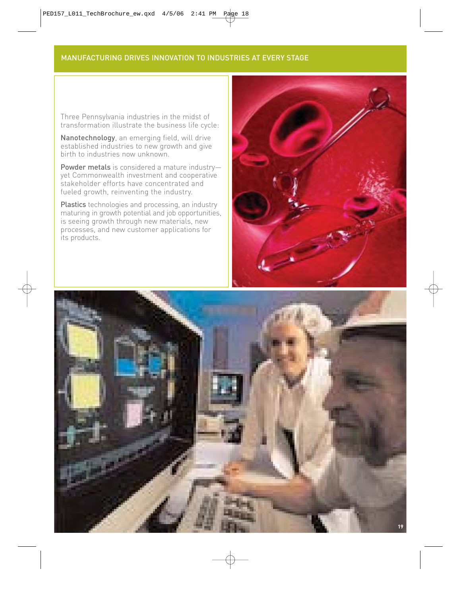Three Pennsylvania industries in the midst of transformation illustrate the business life cycle:

Nanotechnology, an emerging field, will drive established industries to new growth and give birth to industries now unknown.

Powder metals is considered a mature industry yet Commonwealth investment and cooperative stakeholder efforts have concentrated and fueled growth, reinventing the industry.

Plastics technologies and processing, an industry maturing in growth potential and job opportunities, is seeing growth through new materials, new processes, and new customer applications for its products.



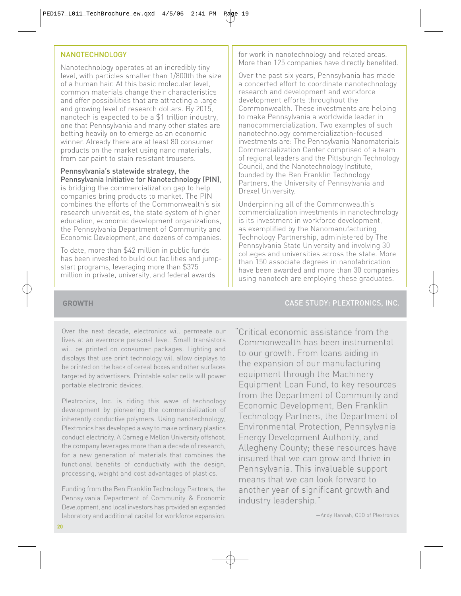#### NANOTECHNOLOGY

Nanotechnology operates at an incredibly tiny level, with particles smaller than 1/800th the size of a human hair. At this basic molecular level, common materials change their characteristics and offer possibilities that are attracting a large and growing level of research dollars. By 2015, nanotech is expected to be a \$1 trillion industry, one that Pennsylvania and many other states are betting heavily on to emerge as an economic winner. Already there are at least 80 consumer products on the market using nano materials, from car paint to stain resistant trousers.

#### Pennsylvania's statewide strategy, the Pennsylvania Initiative for Nanotechnology (PIN),

is bridging the commercialization gap to help companies bring products to market. The PIN combines the efforts of the Commonwealth's six research universities, the state system of higher education, economic development organizations, the Pennsylvania Department of Community and Economic Development, and dozens of companies.

To date, more than \$42 million in public funds has been invested to build out facilities and jumpstart programs, leveraging more than \$375 million in private, university, and federal awards

for work in nanotechnology and related areas. More than 125 companies have directly benefited.

Over the past six years, Pennsylvania has made a concerted effort to coordinate nanotechnology research and development and workforce development efforts throughout the Commonwealth. These investments are helping to make Pennsylvania a worldwide leader in nanocommercialization. Two examples of such nanotechnology commercialization-focused investments are: The Pennsylvania Nanomaterials Commercialization Center comprised of a team of regional leaders and the Pittsburgh Technology Council, and the Nanotechnology Institute, founded by the Ben Franklin Technology Partners, the University of Pennsylvania and Drexel University.

Underpinning all of the Commonwealth's commercialization investments in nanotechnology is its investment in workforce development, as exemplified by the Nanomanufacturing Technology Partnership, administered by The Pennsylvania State University and involving 30 colleges and universities across the state. More than 150 associate degrees in nanofabrication have been awarded and more than 30 companies using nanotech are employing these graduates.

#### **GROWTH**

Over the next decade, electronics will permeate our lives at an evermore personal level. Small transistors will be printed on consumer packages. Lighting and displays that use print technology will allow displays to be printed on the back of cereal boxes and other surfaces targeted by advertisers. Printable solar cells will power portable electronic devices.

Plextronics, Inc. is riding this wave of technology development by pioneering the commercialization of inherently conductive polymers. Using nanotechnology, Plextronics has developed a way to make ordinary plastics conduct electricity. A Carnegie Mellon University offshoot, the company leverages more than a decade of research, for a new generation of materials that combines the functional benefits of conductivity with the design, processing, weight and cost advantages of plastics.

Funding from the Ben Franklin Technology Partners, the Pennsylvania Department of Community & Economic Development, and local investors has provided an expanded laboratory and additional capital for workforce expansion.

#### CASE STUDY: PLEXTRONICS, INC.

"Critical economic assistance from the Commonwealth has been instrumental to our growth. From loans aiding in the expansion of our manufacturing equipment through the Machinery Equipment Loan Fund, to key resources from the Department of Community and Economic Development, Ben Franklin Technology Partners, the Department of Environmental Protection, Pennsylvania Energy Development Authority, and Allegheny County; these resources have insured that we can grow and thrive in Pennsylvania. This invaluable support means that we can look forward to another year of significant growth and industry leadership."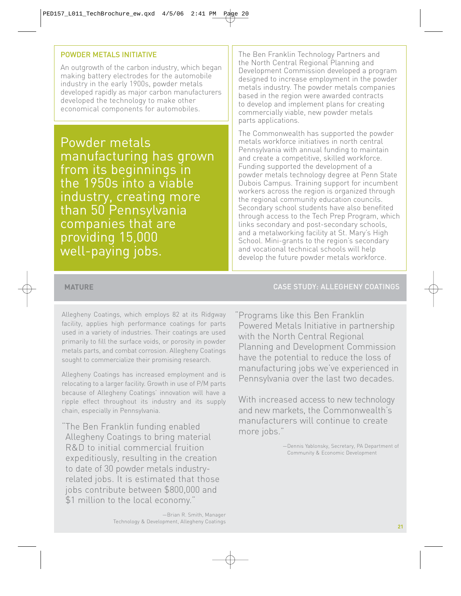#### POWDER METALS INITIATIVE

An outgrowth of the carbon industry, which began making battery electrodes for the automobile industry in the early 1900s, powder metals developed rapidly as major carbon manufacturers developed the technology to make other economical components for automobiles.

Powder metals manufacturing has grown from its beginnings in the 1950s into a viable industry, creating more than 50 Pennsylvania companies that are providing 15,000 well-paying jobs.

The Ben Franklin Technology Partners and the North Central Regional Planning and Development Commission developed a program designed to increase employment in the powder metals industry. The powder metals companies based in the region were awarded contracts to develop and implement plans for creating commercially viable, new powder metals parts applications.

The Commonwealth has supported the powder metals workforce initiatives in north central Pennsylvania with annual funding to maintain and create a competitive, skilled workforce. Funding supported the development of a powder metals technology degree at Penn State Dubois Campus. Training support for incumbent workers across the region is organized through the regional community education councils. Secondary school students have also benefited through access to the Tech Prep Program, which links secondary and post-secondary schools, and a metalworking facility at St. Mary's High School. Mini-grants to the region's secondary and vocational technical schools will help develop the future powder metals workforce.

#### **MATURE**

Allegheny Coatings, which employs 82 at its Ridgway facility, applies high performance coatings for parts used in a variety of industries. Their coatings are used primarily to fill the surface voids, or porosity in powder metals parts, and combat corrosion. Allegheny Coatings sought to commercialize their promising research.

Allegheny Coatings has increased employment and is relocating to a larger facility. Growth in use of P/M parts because of Allegheny Coatings' innovation will have a ripple effect throughout its industry and its supply chain, especially in Pennsylvania.

"The Ben Franklin funding enabled Allegheny Coatings to bring material R&D to initial commercial fruition expeditiously, resulting in the creation to date of 30 powder metals industryrelated jobs. It is estimated that those jobs contribute between \$800,000 and \$1 million to the local economy."

#### CASE STUDY: ALLEGHENY COATINGS

"Programs like this Ben Franklin Powered Metals Initiative in partnership with the North Central Regional Planning and Development Commission have the potential to reduce the loss of manufacturing jobs we've experienced in Pennsylvania over the last two decades.

With increased access to new technology and new markets, the Commonwealth's manufacturers will continue to create more jobs."

> —Dennis Yablonsky, Secretary, PA Department of Community & Economic Development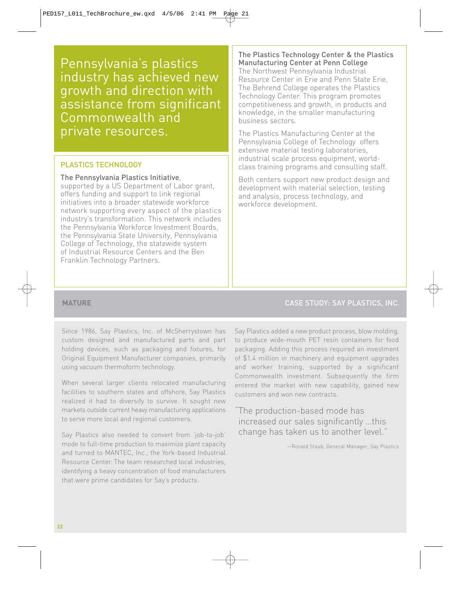Pennsylvania's plastics industry has achieved new growth and direction with assistance from significant Commonwealth and private resources.

#### PLASTICS TECHNOLOGY

#### The Pennsylvania Plastics Initiative,

supported by a US Department of Labor grant, offers funding and support to link regional initiatives into a broader statewide workforce network supporting every aspect of the plastics industry's transformation. This network includes the Pennsylvania Workforce Investment Boards, the Pennsylvania State University, Pennsylvania College of Technology, the statewide system of Industrial Resource Centers and the Ben Franklin Technology Partners.

#### The Plastics Technology Center & the Plastics Manufacturing Center at Penn College

The Northwest Pennsylvania Industrial Resource Center in Erie and Penn State Erie, The Behrend College operates the Plastics Technology Center. This program promotes competitiveness and growth, in products and knowledge, in the smaller manufacturing business sectors.

The Plastics Manufacturing Center at the Pennsylvania College of Technology offers extensive material testing laboratories, industrial scale process equipment, worldclass training programs and consulting staff.

Both centers support new product design and development with material selection, testing and analysis, process technology, and workforce development.

#### **MATURE**

Since 1986, Say Plastics, Inc. of McSherrystown has custom designed and manufactured parts and part holding devices, such as packaging and fixtures, for Original Equipment Manufacturer companies, primarily using vacuum thermoform technology.

When several larger clients relocated manufacturing facilities to southern states and offshore, Say Plastics realized it had to diversify to survive. It sought new markets outside current heavy manufacturing applications to serve more local and regional customers.

Say Plastics also needed to convert from 'job-to-job' mode to full-time production to maximize plant capacity and turned to MANTEC, Inc., the York-based Industrial Resource Center. The team researched local industries, identifying a heavy concentration of food manufacturers that were prime candidates for Say's products.

#### CASE STUDY: SAY PLASTICS, INC.

Say Plastics added a new product process, blow molding, to produce wide-mouth PET resin containers for food packaging. Adding this process required an investment of \$1.4 million in machinery and equipment upgrades and worker training, supported by a significant Commonwealth investment. Subsequently the firm entered the market with new capability, gained new customers and won new contracts.

"The production-based mode has increased our sales significantly …this change has taken us to another level."

—Ronald Staub, General Manager, Say Plastics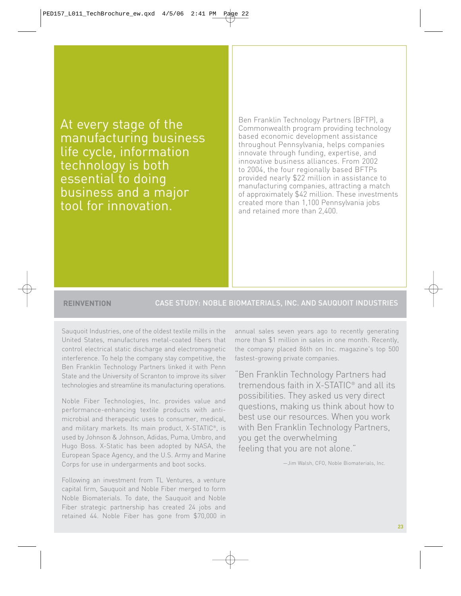At every stage of the manufacturing business life cycle, information technology is both essential to doing business and a major tool for innovation.

Ben Franklin Technology Partners (BFTP), a Commonwealth program providing technology based economic development assistance throughout Pennsylvania, helps companies innovate through funding, expertise, and innovative business alliances. From 2002 to 2004, the four regionally based BFTPs provided nearly \$22 million in assistance to manufacturing companies, attracting a match of approximately \$42 million. These investments created more than 1,100 Pennsylvania jobs and retained more than 2,400.

#### **REINVENTION**

CASE STUDY: NOBLE BIOMATERIALS, INC. AND SAUQUOIT INDUSTRIES

Sauquoit Industries, one of the oldest textile mills in the United States, manufactures metal-coated fibers that control electrical static discharge and electromagnetic interference. To help the company stay competitive, the Ben Franklin Technology Partners linked it with Penn State and the University of Scranton to improve its silver technologies and streamline its manufacturing operations.

Noble Fiber Technologies, Inc. provides value and performance-enhancing textile products with antimicrobial and therapeutic uses to consumer, medical, and military markets. Its main product, X-STATIC®, is used by Johnson & Johnson, Adidas, Puma, Umbro, and Hugo Boss. X-Static has been adopted by NASA, the European Space Agency, and the U.S. Army and Marine Corps for use in undergarments and boot socks.

Following an investment from TL Ventures, a venture capital firm, Sauquoit and Noble Fiber merged to form Noble Biomaterials. To date, the Sauquoit and Noble Fiber strategic partnership has created 24 jobs and retained 44. Noble Fiber has gone from \$70,000 in

annual sales seven years ago to recently generating more than \$1 million in sales in one month. Recently, the company placed 86th on Inc. magazine's top 500 fastest-growing private companies.

"Ben Franklin Technology Partners had tremendous faith in X-STATIC® and all its possibilities. They asked us very direct questions, making us think about how to best use our resources. When you work with Ben Franklin Technology Partners, you get the overwhelming feeling that you are not alone."

—Jim Walsh, CFO, Noble Biomaterials, Inc.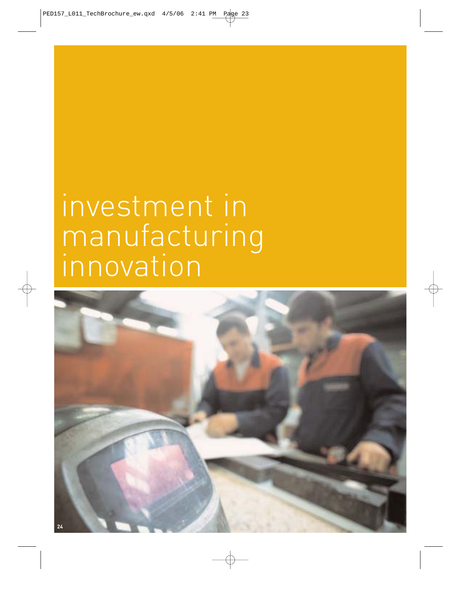### investment in manufacturing innovation

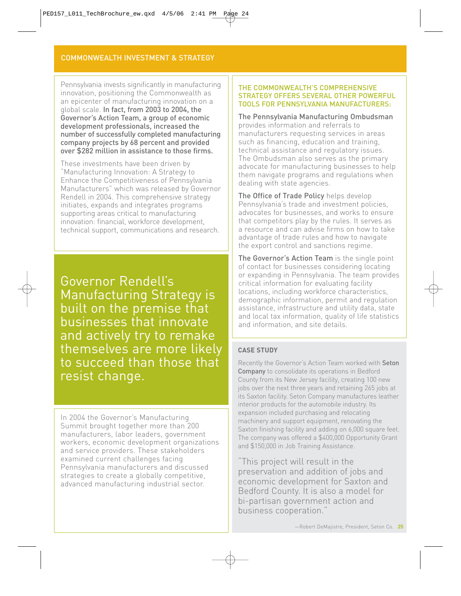Pennsylvania invests significantly in manufacturing innovation, positioning the Commonwealth as an epicenter of manufacturing innovation on a global scale. In fact, from 2003 to 2004, the Governor's Action Team, a group of economic development professionals, increased the number of successfully completed manufacturing company projects by 68 percent and provided over \$282 million in assistance to those firms.

These investments have been driven by "Manufacturing Innovation: A Strategy to Enhance the Competitiveness of Pennsylvania Manufacturers" which was released by Governor Rendell in 2004. This comprehensive strategy initiates, expands and integrates programs supporting areas critical to manufacturing innovation: financial, workforce development, technical support, communications and research.

Governor Rendell's Manufacturing Strategy is built on the premise that businesses that innovate and actively try to remake themselves are more likely to succeed than those that resist change.

In 2004 the Governor's Manufacturing Summit brought together more than 200 manufacturers, labor leaders, government workers, economic development organizations and service providers. These stakeholders examined current challenges facing Pennsylvania manufacturers and discussed strategies to create a globally competitive, advanced manufacturing industrial sector.

#### THE COMMONWEALTH'S COMPREHENSIVE STRATEGY OFFERS SEVERAL OTHER POWERFUL TOOLS FOR PENNSYLVANIA MANUFACTURERS:

The Pennsylvania Manufacturing Ombudsman provides information and referrals to manufacturers requesting services in areas such as financing, education and training, technical assistance and regulatory issues. The Ombudsman also serves as the primary advocate for manufacturing businesses to help them navigate programs and regulations when dealing with state agencies.

The Office of Trade Policy helps develop Pennsylvania's trade and investment policies, advocates for businesses, and works to ensure that competitors play by the rules. It serves as a resource and can advise firms on how to take advantage of trade rules and how to navigate the export control and sanctions regime.

The Governor's Action Team is the single point of contact for businesses considering locating or expanding in Pennsylvania. The team provides critical information for evaluating facility locations, including workforce characteristics, demographic information, permit and regulation assistance, infrastructure and utility data, state and local tax information, quality of life statistics and information, and site details.

#### **CASE STUDY**

Recently the Governor's Action Team worked with Seton Company to consolidate its operations in Bedford County from its New Jersey facility, creating 100 new jobs over the next three years and retaining 265 jobs at its Saxton facility. Seton Company manufactures leather interior products for the automobile industry. Its expansion included purchasing and relocating machinery and support equipment, renovating the Saxton finishing facility and adding on 6,000 square feet. The company was offered a \$400,000 Opportunity Grant and \$150,000 in Job Training Assistance.

"This project will result in the preservation and addition of jobs and economic development for Saxton and Bedford County. It is also a model for bi-partisan government action and business cooperation."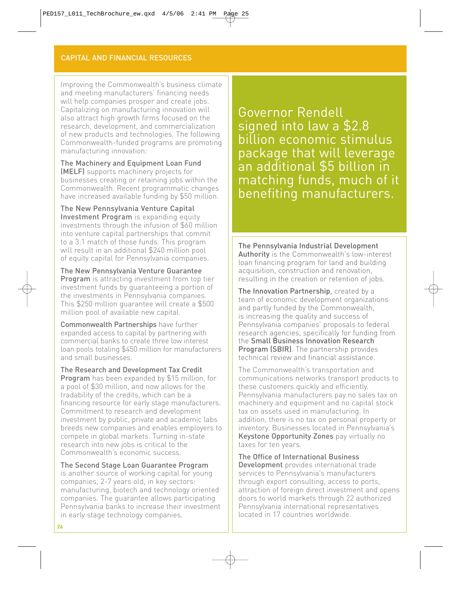Improving the Commonwealth's business climate and meeting manufacturers' financing needs will help companies prosper and create jobs. Capitalizing on manufacturing innovation will also attract high growth firms focused on the research, development, and commercialization of new products and technologies. The following Commonwealth-funded programs are promoting manufacturing innovation:

The Machinery and Equipment Loan Fund (MELF) supports machinery projects for businesses creating or retaining jobs within the Commonwealth. Recent programmatic changes have increased available funding by \$50 million.

The New Pennsylvania Venture Capital Investment Program is expanding equity investments through the infusion of \$60 million into venture capital partnerships that commit to a 3:1 match of those funds. This program will result in an additional \$240 million pool of equity capital for Pennsylvania companies.

The New Pennsylvania Venture Guarantee **Program** is attracting investment from top tier investment funds by guaranteeing a portion of the investments in Pennsylvania companies. This \$250 million guarantee will create a \$500 million pool of available new capital.

Commonwealth Partnerships have further expanded access to capital by partnering with commercial banks to create three low interest loan pools totaling \$450 million for manufacturers and small businesses.

The Research and Development Tax Credit **Program** has been expanded by \$15 million, for a pool of \$30 million, and now allows for the tradability of the credits, which can be a financing resource for early stage manufacturers. Commitment to research and development investment by public, private and academic labs breeds new companies and enables employers to compete in global markets. Turning in-state research into new jobs is critical to the Commonwealth's economic success.

The Second Stage Loan Guarantee Program is another source of working capital for young companies, 2-7 years old, in key sectors: manufacturing, biotech and technology oriented companies. The guarantee allows participating Pennsylvania banks to increase their investment in early stage technology companies.

Governor Rendell signed into law a \$2.8 billion economic stimulus package that will leverage an additional \$5 billion in matching funds, much of it benefiting manufacturers.

The Pennsylvania Industrial Development Authority is the Commonwealth's low-interest loan financing program for land and building acquisition, construction and renovation, resulting in the creation or retention of jobs.

The Innovation Partnership, created by a team of economic development organizations and partly funded by the Commonwealth, is increasing the quality and success of Pennsylvania companies' proposals to federal research agencies, specifically for funding from the Small Business Innovation Research Program (SBIR). The partnership provides technical review and financial assistance.

The Commonwealth's transportation and communications networks transport products to these customers quickly and efficiently. Pennsylvania manufacturers pay no sales tax on machinery and equipment and no capital stock tax on assets used in manufacturing. In addition, there is no tax on personal property or inventory. Businesses located in Pennsylvania's Keystone Opportunity Zones pay virtually no taxes for ten years.

The Office of International Business Development provides international trade services to Pennsylvania's manufacturers through export consulting, access to ports, attraction of foreign direct investment and opens doors to world markets through 22 authorized Pennsylvania international representatives located in 17 countries worldwide.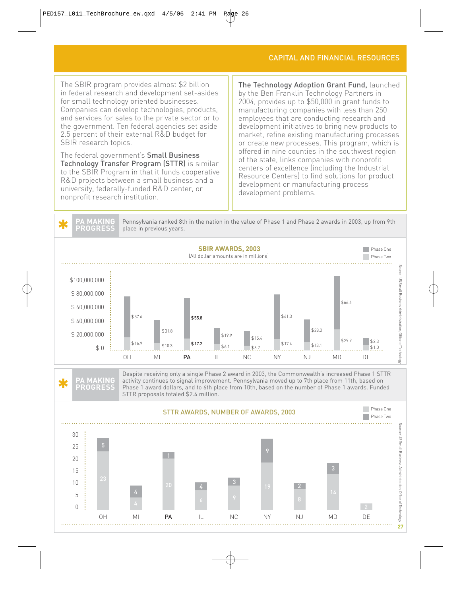The SBIR program provides almost \$2 billion in federal research and development set-asides for small technology oriented businesses. Companies can develop technologies, products, and services for sales to the private sector or to the government. Ten federal agencies set aside 2.5 percent of their external R&D budget for SBIR research topics.

The federal government's Small Business Technology Transfer Program (STTR) is similar to the SBIR Program in that it funds cooperative R&D projects between a small business and a university, federally-funded R&D center, or nonprofit research institution.

The Technology Adoption Grant Fund, launched by the Ben Franklin Technology Partners in 2004, provides up to \$50,000 in grant funds to manufacturing companies with less than 250 employees that are conducting research and development initiatives to bring new products to market, refine existing manufacturing processes or create new processes. This program, which is offered in nine counties in the southwest region of the state, links companies with nonprofit centers of excellence (including the Industrial Resource Centers) to find solutions for product development or manufacturing process development problems.

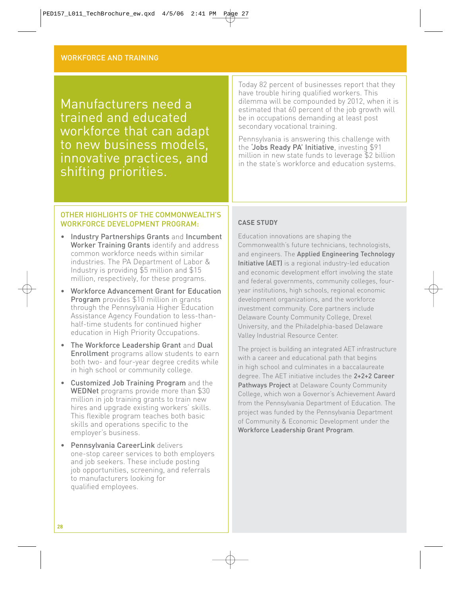Manufacturers need a trained and educated workforce that can adapt to new business models, innovative practices, and shifting priorities.

#### OTHER HIGHLIGHTS OF THE COMMONWEALTH'S WORKFORCE DEVELOPMENT PROGRAM:

- Industry Partnerships Grants and Incumbent Worker Training Grants identify and address common workforce needs within similar industries. The PA Department of Labor & Industry is providing \$5 million and \$15 million, respectively, for these programs.
- Workforce Advancement Grant for Education Program provides \$10 million in grants through the Pennsylvania Higher Education Assistance Agency Foundation to less-thanhalf-time students for continued higher education in High Priority Occupations.
- The Workforce Leadership Grant and Dual **Enrollment** programs allow students to earn both two- and four-year degree credits while in high school or community college.
- Customized Job Training Program and the WEDNet programs provide more than \$30 million in job training grants to train new hires and upgrade existing workers' skills. This flexible program teaches both basic skills and operations specific to the employer's business.
- Pennsylvania CareerLink delivers one-stop career services to both employers and job seekers. These include posting job opportunities, screening, and referrals to manufacturers looking for qualified employees.

Today 82 percent of businesses report that they have trouble hiring qualified workers. This dilemma will be compounded by 2012, when it is estimated that 60 percent of the job growth will be in occupations demanding at least post secondary vocational training.

Pennsylvania is answering this challenge with the 'Jobs Ready PA' Initiative, investing \$91 million in new state funds to leverage \$2 billion in the state's workforce and education systems.

#### **CASE STUDY**

Education innovations are shaping the Commonwealth's future technicians, technologists, and engineers. The Applied Engineering Technology Initiative (AET) is a regional industry-led education and economic development effort involving the state and federal governments, community colleges, fouryear institutions, high schools, regional economic development organizations, and the workforce investment community. Core partners include Delaware County Community College, Drexel University, and the Philadelphia-based Delaware Valley Industrial Resource Center.

The project is building an integrated AET infrastructure with a career and educational path that begins in high school and culminates in a baccalaureate degree. The AET initiative includes the 2+2+2 Career Pathways Project at Delaware County Community College, which won a Governor's Achievement Award from the Pennsylvania Department of Education. The project was funded by the Pennsylvania Department of Community & Economic Development under the Workforce Leadership Grant Program.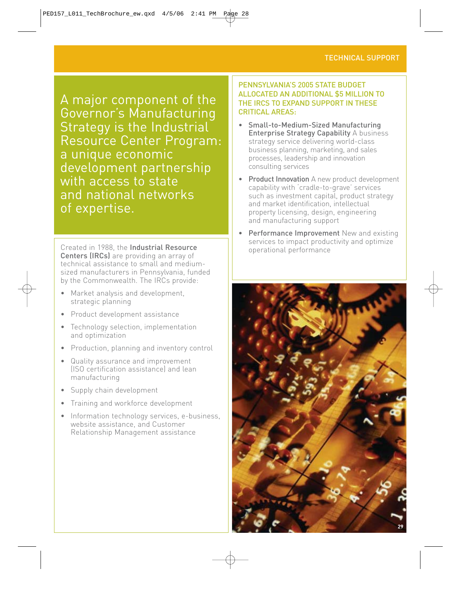A major component of the Governor's Manufacturing Strategy is the Industrial Resource Center Program: a unique economic development partnership with access to state and national networks of expertise.

Created in 1988, the Industrial Resource Centers (IRCs) are providing an array of technical assistance to small and mediumsized manufacturers in Pennsylvania, funded by the Commonwealth. The IRCs provide:

- Market analysis and development, strategic planning
- Product development assistance
- Technology selection, implementation and optimization
- Production, planning and inventory control
- Quality assurance and improvement (ISO certification assistance) and lean manufacturing
- Supply chain development
- Training and workforce development
- Information technology services, e-business, website assistance, and Customer Relationship Management assistance

#### PENNSYLVANIA'S 2005 STATE BUDGET ALLOCATED AN ADDITIONAL \$5 MILLION TO THE IRCS TO EXPAND SUPPORT IN THESE CRITICAL AREAS:

- Small-to-Medium-Sized Manufacturing Enterprise Strategy Capability A business strategy service delivering world-class business planning, marketing, and sales processes, leadership and innovation consulting services
- Product Innovation A new product development capability with 'cradle-to-grave' services such as investment capital, product strategy and market identification, intellectual property licensing, design, engineering and manufacturing support
- Performance Improvement New and existing services to impact productivity and optimize operational performance

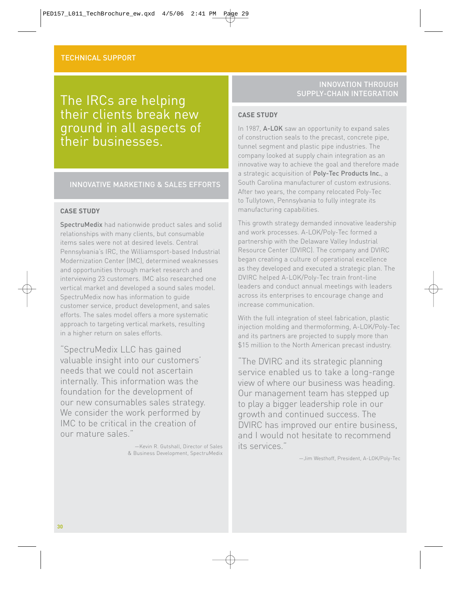#### TECHNICAL SUPPORT

The IRCs are helping their clients break new ground in all aspects of their businesses.

#### INNOVATIVE MARKETING & SALES EFFORTS

#### **CASE STUDY**

SpectruMedix had nationwide product sales and solid relationships with many clients, but consumable items sales were not at desired levels. Central Pennsylvania's IRC, the Williamsport-based Industrial Modernization Center (IMC), determined weaknesses and opportunities through market research and interviewing 23 customers. IMC also researched one vertical market and developed a sound sales model. SpectruMedix now has information to guide customer service, product development, and sales efforts. The sales model offers a more systematic approach to targeting vertical markets, resulting in a higher return on sales efforts.

"SpectruMedix LLC has gained valuable insight into our customers' needs that we could not ascertain internally. This information was the foundation for the development of our new consumables sales strategy. We consider the work performed by IMC to be critical in the creation of our mature sales."

> —Kevin R. Gutshall, Director of Sales & Business Development, SpectruMedix

#### INNOVATION THROUGH SUPPLY-CHAIN INTEGRATION

#### **CASE STUDY**

In 1987, A-LOK saw an opportunity to expand sales of construction seals to the precast, concrete pipe, tunnel segment and plastic pipe industries. The company looked at supply chain integration as an innovative way to achieve the goal and therefore made a strategic acquisition of Poly-Tec Products Inc., a South Carolina manufacturer of custom extrusions. After two years, the company relocated Poly-Tec to Tullytown, Pennsylvania to fully integrate its manufacturing capabilities.

This growth strategy demanded innovative leadership and work processes. A-LOK/Poly-Tec formed a partnership with the Delaware Valley Industrial Resource Center (DVIRC). The company and DVIRC began creating a culture of operational excellence as they developed and executed a strategic plan. The DVIRC helped A-LOK/Poly-Tec train front-line leaders and conduct annual meetings with leaders across its enterprises to encourage change and increase communication.

With the full integration of steel fabrication, plastic injection molding and thermoforming, A-LOK/Poly-Tec and its partners are projected to supply more than \$15 million to the North American precast industry.

"The DVIRC and its strategic planning service enabled us to take a long-range view of where our business was heading. Our management team has stepped up to play a bigger leadership role in our growth and continued success. The DVIRC has improved our entire business, and I would not hesitate to recommend its services."

—Jim Westhoff, President, A-LOK/Poly-Tec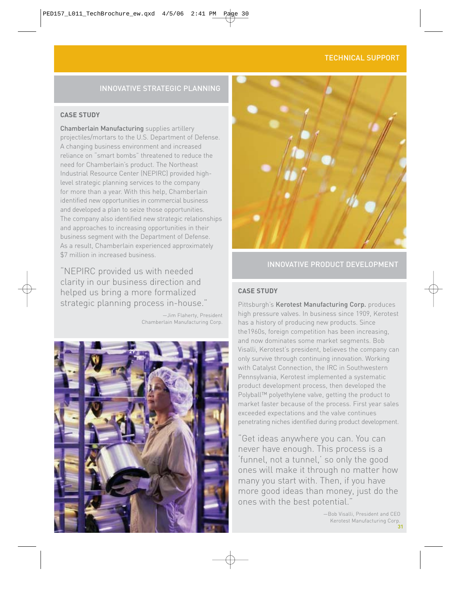#### TECHNICAL SUPPORT

#### INNOVATIVE STRATEGIC PLANNING

#### **CASE STUDY**

Chamberlain Manufacturing supplies artillery projectiles/mortars to the U.S. Department of Defense. A changing business environment and increased reliance on "smart bombs" threatened to reduce the need for Chamberlain's product. The Northeast Industrial Resource Center (NEPIRC) provided highlevel strategic planning services to the company for more than a year. With this help, Chamberlain identified new opportunities in commercial business and developed a plan to seize those opportunities. The company also identified new strategic relationships and approaches to increasing opportunities in their business segment with the Department of Defense. As a result, Chamberlain experienced approximately \$7 million in increased business.

"NEPIRC provided us with needed clarity in our business direction and helped us bring a more formalized strategic planning process in-house."

> —Jim Flaherty, President Chamberlain Manufacturing Corp.





INNOVATIVE PRODUCT DEVELOPMENT

#### **CASE STUDY**

Pittsburgh's Kerotest Manufacturing Corp. produces high pressure valves. In business since 1909, Kerotest has a history of producing new products. Since the1960s, foreign competition has been increasing, and now dominates some market segments. Bob Visalli, Kerotest's president, believes the company can only survive through continuing innovation. Working with Catalyst Connection, the IRC in Southwestern Pennsylvania, Kerotest implemented a systematic product development process, then developed the Polyball™ polyethylene valve, getting the product to market faster because of the process. First year sales exceeded expectations and the valve continues penetrating niches identified during product development.

"Get ideas anywhere you can. You can never have enough. This process is a 'funnel, not a tunnel,' so only the good ones will make it through no matter how many you start with. Then, if you have more good ideas than money, just do the ones with the best potential."

> —Bob Visalli, President and CEO Kerotest Manufacturing Corp. **31**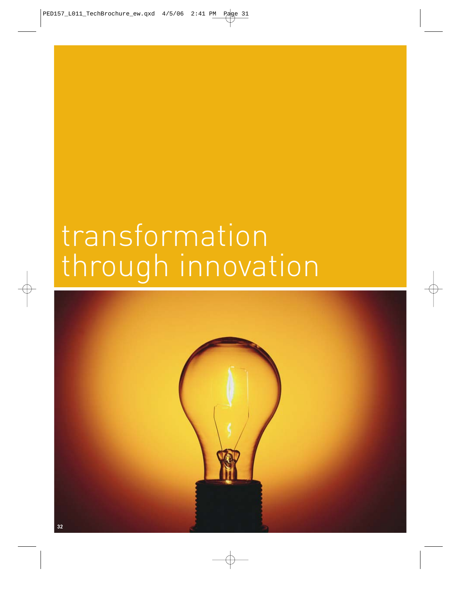### transformation through innovation

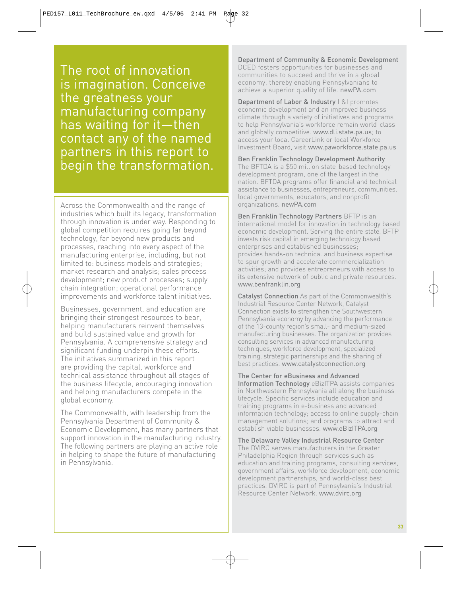The root of innovation is imagination. Conceive the greatness your manufacturing company has waiting for it—then contact any of the named partners in this report to begin the transformation.

Across the Commonwealth and the range of industries which built its legacy, transformation through innovation is under way. Responding to global competition requires going far beyond technology, far beyond new products and processes, reaching into every aspect of the manufacturing enterprise, including, but not limited to: business models and strategies; market research and analysis; sales process development; new product processes; supply chain integration; operational performance improvements and workforce talent initiatives.

Businesses, government, and education are bringing their strongest resources to bear, helping manufacturers reinvent themselves and build sustained value and growth for Pennsylvania. A comprehensive strategy and significant funding underpin these efforts. The initiatives summarized in this report are providing the capital, workforce and technical assistance throughout all stages of the business lifecycle, encouraging innovation and helping manufacturers compete in the global economy.

The Commonwealth, with leadership from the Pennsylvania Department of Community & Economic Development, has many partners that support innovation in the manufacturing industry. The following partners are playing an active role in helping to shape the future of manufacturing in Pennsylvania.

Department of Community & Economic Development DCED fosters opportunities for businesses and communities to succeed and thrive in a global economy, thereby enabling Pennsylvanians to achieve a superior quality of life. newPA.com

Department of Labor & Industry L&I promotes economic development and an improved business climate through a variety of initiatives and programs to help Pennsylvania's workforce remain world-class and globally competitive. www.dli.state.pa.us; to access your local CareerLink or local Workforce Investment Board, visit www.paworkforce.state.pa.us

Ben Franklin Technology Development Authority The BFTDA is a \$50 million state-based technology development program, one of the largest in the nation. BFTDA programs offer financial and technical assistance to businesses, entrepreneurs, communities, local governments, educators, and nonprofit organizations. newPA.com

Ben Franklin Technology Partners BFTP is an international model for innovation in technology based economic development. Serving the entire state, BFTP invests risk capital in emerging technology based enterprises and established businesses; provides hands-on technical and business expertise to spur growth and accelerate commercialization activities; and provides entrepreneurs with access to its extensive network of public and private resources. www.benfranklin.org

Catalyst Connection As part of the Commonwealth's Industrial Resource Center Network, Catalyst Connection exists to strengthen the Southwestern Pennsylvania economy by advancing the performance of the 13-county region's small- and medium-sized manufacturing businesses. The organization provides consulting services in advanced manufacturing techniques, workforce development, specialized training, strategic partnerships and the sharing of best practices. www.catalystconnection.org

#### The Center for eBusiness and Advanced

Information Technology eBizITPA assists companies in Northwestern Pennsylvania all along the business lifecycle. Specific services include education and training programs in e-business and advanced information technology; access to online supply-chain management solutions; and programs to attract and establish viable businesses. www.eBizITPA.org

The Delaware Valley Industrial Resource Center The DVIRC serves manufacturers in the Greater Philadelphia Region through services such as education and training programs, consulting services, government affairs, workforce development, economic development partnerships, and world-class best practices. DVIRC is part of Pennsylvania's Industrial Resource Center Network. www.dvirc.org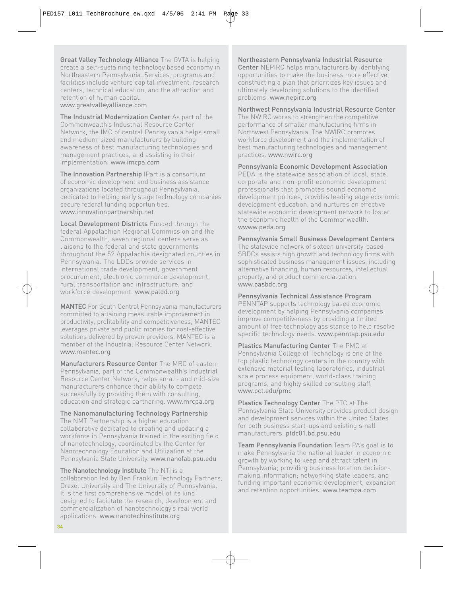Great Valley Technology Alliance The GVTA is helping create a self-sustaining technology based economy in Northeastern Pennsylvania. Services, programs and facilities include venture capital investment, research centers, technical education, and the attraction and retention of human capital. www.greatvalleyalliance.com

The Industrial Modernization Center As part of the Commonwealth's Industrial Resource Center Network, the IMC of central Pennsylvania helps small and medium-sized manufacturers by building awareness of best manufacturing technologies and management practices, and assisting in their implementation. www.imcpa.com

The Innovation Partnership IPart is a consortium of economic development and business assistance organizations located throughout Pennsylvania, dedicated to helping early stage technology companies secure federal funding opportunities. www.innovationpartnership.net

Local Development Districts Funded through the federal Appalachian Regional Commission and the Commonwealth, seven regional centers serve as liaisons to the federal and state governments throughout the 52 Appalachia designated counties in Pennsylvania. The LDDs provide services in international trade development, government procurement, electronic commerce development, rural transportation and infrastructure, and workforce development. www.paldd.org

MANTEC For South Central Pennsylvania manufacturers committed to attaining measurable improvement in productivity, profitability and competitiveness, MANTEC leverages private and public monies for cost-effective solutions delivered by proven providers. MANTEC is a member of the Industrial Resource Center Network. www.mantec.org

Manufacturers Resource Center The MRC of eastern Pennsylvania, part of the Commonwealth's Industrial Resource Center Network, helps small- and mid-size manufacturers enhance their ability to compete successfully by providing them with consulting, education and strategic partnering. www.mrcpa.org

The Nanomanufacturing Technology Partnership The NMT Partnership is a higher education collaborative dedicated to creating and updating a workforce in Pennsylvania trained in the exciting field of nanotechnology, coordinated by the Center for Nanotechnology Education and Utilization at the Pennsylvania State University. www.nanofab.psu.edu

The Nanotechnology Institute The NTI is a collaboration led by Ben Franklin Technology Partners, Drexel University and The University of Pennsylvania. It is the first comprehensive model of its kind designed to facilitate the research, development and commercialization of nanotechnology's real world applications. www.nanotechinstitute.org

Northeastern Pennsylvania Industrial Resource Center NEPIRC helps manufacturers by identifying opportunities to make the business more effective, constructing a plan that prioritizes key issues and ultimately developing solutions to the identified problems. www.nepirc.org

#### Northwest Pennsylvania Industrial Resource Center

The NWIRC works to strengthen the competitive performance of smaller manufacturing firms in Northwest Pennsylvania. The NWIRC promotes workforce development and the implementation of best manufacturing technologies and management practices. www.nwirc.org

Pennsylvania Economic Development Association

PEDA is the statewide association of local, state, corporate and non-profit economic development professionals that promotes sound economic development policies, provides leading edge economic development education, and nurtures an effective statewide economic development network to foster the economic health of the Commonwealth. wwww.peda.org

Pennsylvania Small Business Development Centers The statewide network of sixteen university-based SBDCs assists high growth and technology firms with sophisticated business management issues, including alternative financing, human resources, intellectual property, and product commercialization. www.pasbdc.org

Pennsylvania Technical Assistance Program

PENNTAP supports technology based economic development by helping Pennsylvania companies improve competitiveness by providing a limited amount of free technology assistance to help resolve specific technology needs. www.penntap.psu.edu

Plastics Manufacturing Center The PMC at Pennsylvania College of Technology is one of the top plastic technology centers in the country with extensive material testing laboratories, industrial scale process equipment, world-class training programs, and highly skilled consulting staff. www.pct.edu/pmc

Plastics Technology Center The PTC at The Pennsylvania State University provides product design and development services within the United States for both business start-ups and existing small manufacturers. ptdc01.bd.psu.edu

Team Pennsylvania Foundation Team PA's goal is to make Pennsylvania the national leader in economic growth by working to keep and attract talent in Pennsylvania; providing business location decisionmaking information; networking state leaders, and funding important economic development, expansion and retention opportunities. www.teampa.com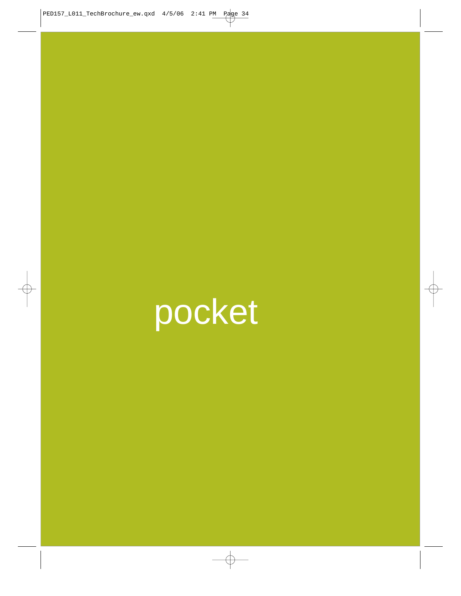# pocket